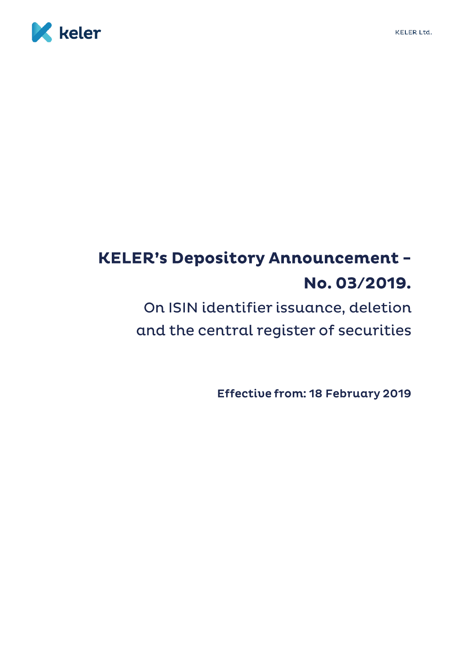



# **KELER's Depository Announcement -**No. 03/2019.

## On ISIN identifier issuance, deletion and the central register of securities

**Effective from: 18 February 2019**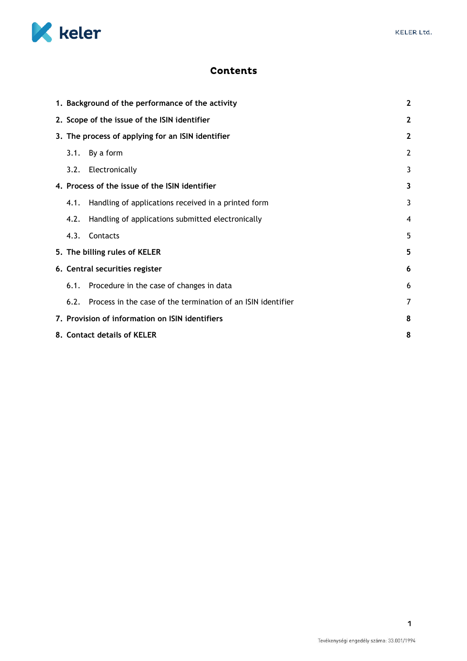

## **Contents**

| 1. Background of the performance of the activity |                                                 | $\mathbf{2}$                                                 |                |
|--------------------------------------------------|-------------------------------------------------|--------------------------------------------------------------|----------------|
|                                                  | 2. Scope of the issue of the ISIN identifier    |                                                              | $\mathbf{2}$   |
|                                                  |                                                 | 3. The process of applying for an ISIN identifier            |                |
|                                                  | 3.1.                                            | By a form                                                    | $\overline{2}$ |
|                                                  | 3.2.                                            | Electronically                                               | 3              |
| 4. Process of the issue of the ISIN identifier   |                                                 |                                                              | 3              |
|                                                  | 4.1.                                            | Handling of applications received in a printed form          | 3              |
|                                                  | 4.2.                                            | Handling of applications submitted electronically            | 4              |
|                                                  | 4.3.                                            | Contacts                                                     | 5              |
|                                                  |                                                 | 5. The billing rules of KELER                                | 5              |
|                                                  | 6. Central securities register                  |                                                              | 6              |
|                                                  | 6.1.                                            | Procedure in the case of changes in data                     | 6              |
|                                                  | 6.2.                                            | Process in the case of the termination of an ISIN identifier | 7              |
|                                                  | 7. Provision of information on ISIN identifiers |                                                              | 8              |
|                                                  | 8. Contact details of KELER                     |                                                              | 8              |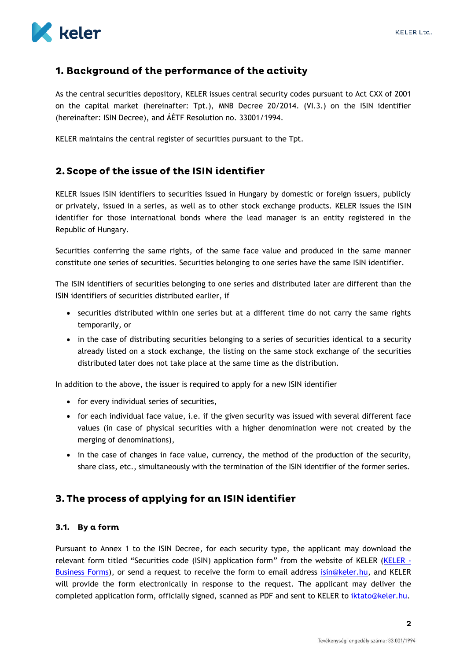

## <span id="page-2-0"></span>1. Background of the performance of the activity

As the central securities depository, KELER issues central security codes pursuant to Act CXX of 2001 on the capital market (hereinafter: Tpt.), MNB Decree 20/2014. (VI.3.) on the ISIN identifier (hereinafter: ISIN Decree), and ÁÉTF Resolution no. 33001/1994.

KELER maintains the central register of securities pursuant to the Tpt.

## <span id="page-2-1"></span>2. Scope of the issue of the ISIN identifier

KELER issues ISIN identifiers to securities issued in Hungary by domestic or foreign issuers, publicly or privately, issued in a series, as well as to other stock exchange products. KELER issues the ISIN identifier for those international bonds where the lead manager is an entity registered in the Republic of Hungary.

Securities conferring the same rights, of the same face value and produced in the same manner constitute one series of securities. Securities belonging to one series have the same ISIN identifier.

The ISIN identifiers of securities belonging to one series and distributed later are different than the ISIN identifiers of securities distributed earlier, if

- securities distributed within one series but at a different time do not carry the same rights temporarily, or
- in the case of distributing securities belonging to a series of securities identical to a security already listed on a stock exchange, the listing on the same stock exchange of the securities distributed later does not take place at the same time as the distribution.

In addition to the above, the issuer is required to apply for a new ISIN identifier

- for every individual series of securities,
- for each individual face value, i.e. if the given security was issued with several different face values (in case of physical securities with a higher denomination were not created by the merging of denominations),
- in the case of changes in face value, currency, the method of the production of the security, share class, etc., simultaneously with the termination of the ISIN identifier of the former series.

## <span id="page-2-2"></span>3. The process of applying for an ISIN identifier

#### <span id="page-2-3"></span>3.1. By a form

Pursuant to Annex 1 to the ISIN Decree, for each security type, the applicant may download the relevant form titled "Securities code (ISIN) application form" from the website of KELER [\(KELER -](https://english.keler.hu/Key%20documents/Business%20Forms/) [Business Forms\)](https://english.keler.hu/Key%20documents/Business%20Forms/), or send a request to receive the form to email address [isin@keler.hu,](mailto:isin@keler.hu) and KELER will provide the form electronically in response to the request. The applicant may deliver the completed application form, officially signed, scanned as PDF and sent to KELER to [iktato@keler.hu.](mailto:iktato@keler.hu)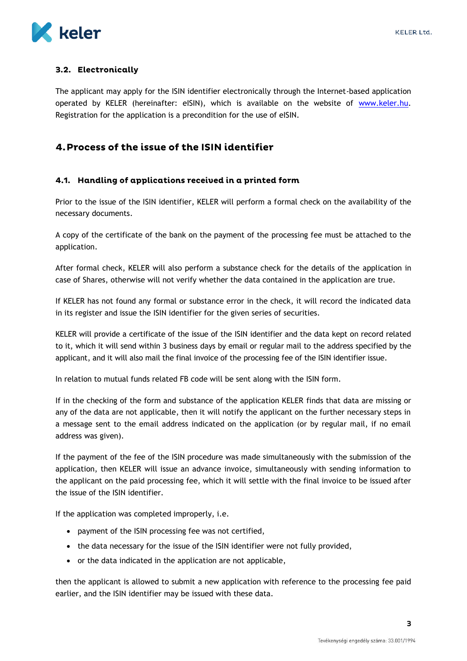

#### <span id="page-3-0"></span>3.2. Electronically

The applicant may apply for the ISIN identifier electronically through the Internet-based application operated by KELER (hereinafter: eISIN), which is available on the website of [www.keler.hu.](http://www.keler.hu/) Registration for the application is a precondition for the use of eISIN.

## <span id="page-3-1"></span>4. Process of the issue of the ISIN identifier

#### <span id="page-3-2"></span>4.1. Handling of applications received in a printed form

Prior to the issue of the ISIN identifier, KELER will perform a formal check on the availability of the necessary documents.

A copy of the certificate of the bank on the payment of the processing fee must be attached to the application.

After formal check, KELER will also perform a substance check for the details of the application in case of Shares, otherwise will not verify whether the data contained in the application are true.

If KELER has not found any formal or substance error in the check, it will record the indicated data in its register and issue the ISIN identifier for the given series of securities.

KELER will provide a certificate of the issue of the ISIN identifier and the data kept on record related to it, which it will send within 3 business days by email or regular mail to the address specified by the applicant, and it will also mail the final invoice of the processing fee of the ISIN identifier issue.

In relation to mutual funds related FB code will be sent along with the ISIN form.

If in the checking of the form and substance of the application KELER finds that data are missing or any of the data are not applicable, then it will notify the applicant on the further necessary steps in a message sent to the email address indicated on the application (or by regular mail, if no email address was given).

If the payment of the fee of the ISIN procedure was made simultaneously with the submission of the application, then KELER will issue an advance invoice, simultaneously with sending information to the applicant on the paid processing fee, which it will settle with the final invoice to be issued after the issue of the ISIN identifier.

If the application was completed improperly, i.e.

- payment of the ISIN processing fee was not certified,
- the data necessary for the issue of the ISIN identifier were not fully provided,
- or the data indicated in the application are not applicable,

then the applicant is allowed to submit a new application with reference to the processing fee paid earlier, and the ISIN identifier may be issued with these data.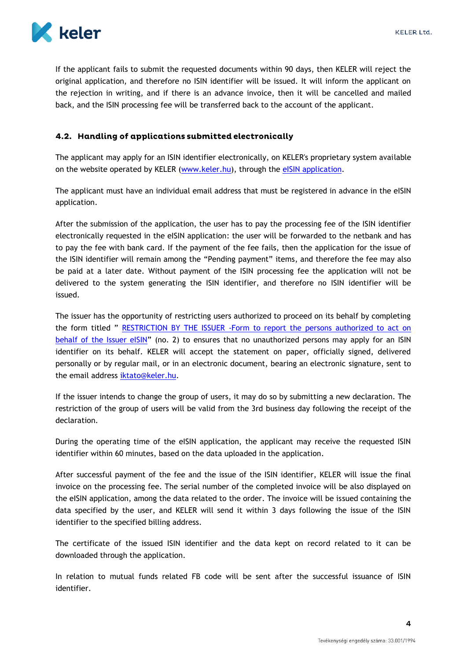

If the applicant fails to submit the requested documents within 90 days, then KELER will reject the original application, and therefore no ISIN identifier will be issued. It will inform the applicant on the rejection in writing, and if there is an advance invoice, then it will be cancelled and mailed back, and the ISIN processing fee will be transferred back to the account of the applicant.

#### <span id="page-4-0"></span>4.2. Handling of applications submitted electronically

The applicant may apply for an ISIN identifier electronically, on KELER's proprietary system available on the website operated by KELER (www.keler.hu), through the [eISIN application.](https://isin.keler.hu/user/inputLogin.action)

The applicant must have an individual email address that must be registered in advance in the eISIN application.

After the submission of the application, the user has to pay the processing fee of the ISIN identifier electronically requested in the eISIN application: the user will be forwarded to the netbank and has to pay the fee with bank card. If the payment of the fee fails, then the application for the issue of the ISIN identifier will remain among the "Pending payment" items, and therefore the fee may also be paid at a later date. Without payment of the ISIN processing fee the application will not be delivered to the system generating the ISIN identifier, and therefore no ISIN identifier will be issued.

The issuer has the opportunity of restricting users authorized to proceed on its behalf by completing the form titled " [RESTRICTION BY THE ISSUER -Form to report the persons authorized to act on](https://english.keler.hu/Key%20documents/Business%20Forms/ISIN%20documents/2_Restriction-by-the-Issuer_Form-to-report-the-persons-authorized-to-act-on-behalf-of-the-Issuer-eISIN.pdf)  [behalf of the Issuer eISIN](https://english.keler.hu/Key%20documents/Business%20Forms/ISIN%20documents/2_Restriction-by-the-Issuer_Form-to-report-the-persons-authorized-to-act-on-behalf-of-the-Issuer-eISIN.pdf)" (no. 2) to ensures that no unauthorized persons may apply for an ISIN identifier on its behalf. KELER will accept the statement on paper, officially signed, delivered personally or by regular mail, or in an electronic document, bearing an electronic signature, sent to the email address [iktato@keler.hu.](mailto:iktato@keler.hu)

If the issuer intends to change the group of users, it may do so by submitting a new declaration. The restriction of the group of users will be valid from the 3rd business day following the receipt of the declaration.

During the operating time of the eISIN application, the applicant may receive the requested ISIN identifier within 60 minutes, based on the data uploaded in the application.

After successful payment of the fee and the issue of the ISIN identifier, KELER will issue the final invoice on the processing fee. The serial number of the completed invoice will be also displayed on the eISIN application, among the data related to the order. The invoice will be issued containing the data specified by the user, and KELER will send it within 3 days following the issue of the ISIN identifier to the specified billing address.

The certificate of the issued ISIN identifier and the data kept on record related to it can be downloaded through the application.

In relation to mutual funds related FB code will be sent after the successful issuance of ISIN identifier.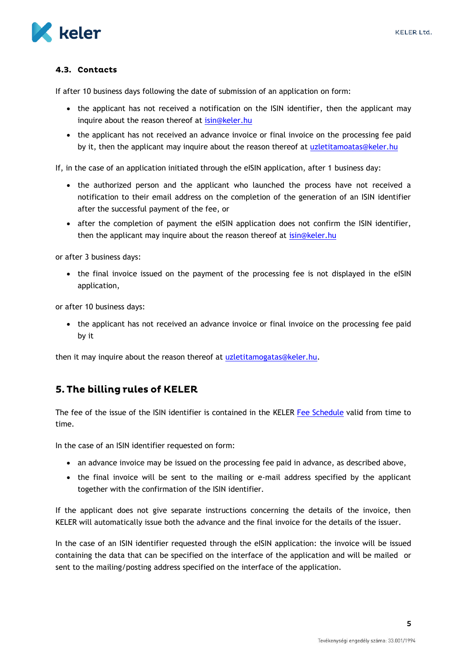

#### <span id="page-5-0"></span>4.3. Contacts

If after 10 business days following the date of submission of an application on form:

- the applicant has not received a notification on the ISIN identifier, then the applicant may inquire about the reason thereof at *isin@keler.hu*
- the applicant has not received an advance invoice or final invoice on the processing fee paid by it, then the applicant may inquire about the reason thereof at [uzletitamoatas@keler.hu](mailto:uzletitamoatas@keler.hu)

If, in the case of an application initiated through the eISIN application, after 1 business day:

- the authorized person and the applicant who launched the process have not received a notification to their email address on the completion of the generation of an ISIN identifier after the successful payment of the fee, or
- after the completion of payment the eISIN application does not confirm the ISIN identifier, then the applicant may inquire about the reason thereof at *[isin@keler.hu](mailto:isin@keler.hu)*

or after 3 business days:

• the final invoice issued on the payment of the processing fee is not displayed in the eISIN application,

or after 10 business days:

• the applicant has not received an advance invoice or final invoice on the processing fee paid by it

then it may inquire about the reason thereof at [uzletitamogatas@keler.hu.](mailto:uzletitamogatas@keler.hu)

### <span id="page-5-1"></span>5. The billing rules of KELER

The fee of the issue of the ISIN identifier is contained in the KELER [Fee S](http://www.keler.hu/keler/keler.news.page?nodeid=285)chedule valid from time to time.

In the case of an ISIN identifier requested on form:

- an advance invoice may be issued on the processing fee paid in advance, as described above,
- the final invoice will be sent to the mailing or e-mail address specified by the applicant together with the confirmation of the ISIN identifier.

If the applicant does not give separate instructions concerning the details of the invoice, then KELER will automatically issue both the advance and the final invoice for the details of the issuer.

In the case of an ISIN identifier requested through the eISIN application: the invoice will be issued containing the data that can be specified on the interface of the application and will be mailed or sent to the mailing/posting address specified on the interface of the application.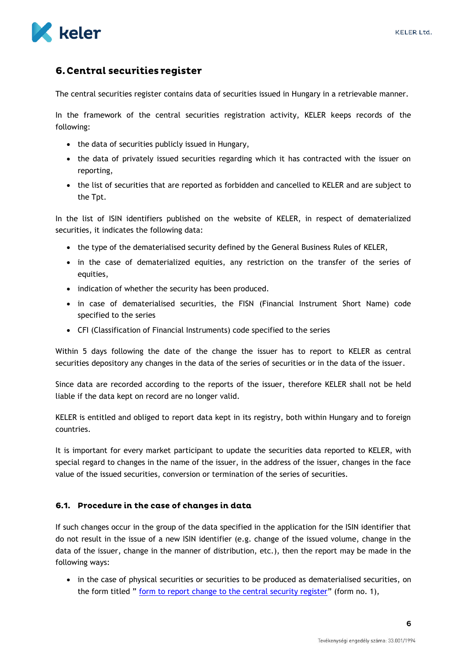

## <span id="page-6-0"></span>6. Central securities register

The central securities register contains data of securities issued in Hungary in a retrievable manner.

In the framework of the central securities registration activity, KELER keeps records of the following:

- the data of securities publicly issued in Hungary,
- the data of privately issued securities regarding which it has contracted with the issuer on reporting,
- the list of securities that are reported as forbidden and cancelled to KELER and are subject to the Tpt.

In the list of ISIN identifiers published on the website of KELER, in respect of dematerialized securities, it indicates the following data:

- the type of the dematerialised security defined by the General Business Rules of KELER,
- in the case of dematerialized equities, any restriction on the transfer of the series of equities,
- indication of whether the security has been produced.
- in case of dematerialised securities, the FISN (Financial Instrument Short Name) code specified to the series
- CFI (Classification of Financial Instruments) code specified to the series

Within 5 days following the date of the change the issuer has to report to KELER as central securities depository any changes in the data of the series of securities or in the data of the issuer.

Since data are recorded according to the reports of the issuer, therefore KELER shall not be held liable if the data kept on record are no longer valid.

KELER is entitled and obliged to report data kept in its registry, both within Hungary and to foreign countries.

It is important for every market participant to update the securities data reported to KELER, with special regard to changes in the name of the issuer, in the address of the issuer, changes in the face value of the issued securities, conversion or termination of the series of securities.

#### <span id="page-6-1"></span>6.1. Procedure in the case of changes in data

If such changes occur in the group of the data specified in the application for the ISIN identifier that do not result in the issue of a new ISIN identifier (e.g. change of the issued volume, change in the data of the issuer, change in the manner of distribution, etc.), then the report may be made in the following ways:

• in the case of physical securities or securities to be produced as dematerialised securities, on the form titled " [form to report change to the central security register](https://english.keler.hu/Key%20documents/Business%20Forms/ISIN%20documents/1_Form-to-report-change-to-the-central-security-register.pdf)" (form no. 1),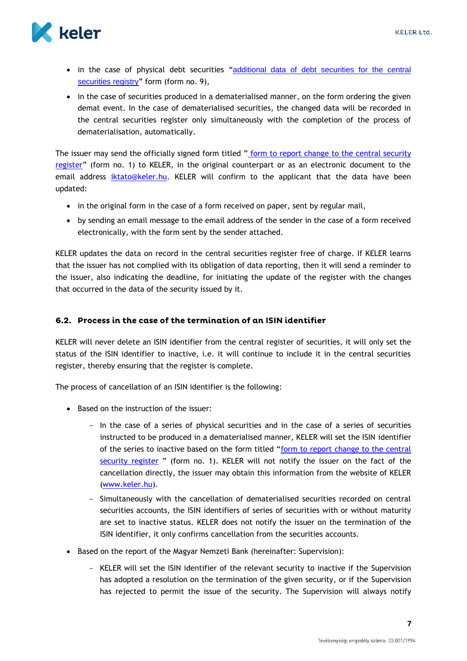

- in the case of physical debt securities "additional data of debt securities for the central [securities registry](https://english.keler.hu/Key%20documents/Business%20Forms/ISIN%20documents/9_Additional-data-of-debt-securities-for-the-central-securities-registry.pdf)" form (form no. 9),
- in the case of securities produced in a dematerialised manner, on the form ordering the given demat event. In the case of dematerialised securities, the changed data will be recorded in the central securities register only simultaneously with the completion of the process of dematerialisation, automatically.

The issuer may send the officially signed form titled " [form to report change to the](https://english.keler.hu/Key%20documents/Business%20Forms/ISIN%20documents/1_Form-to-report-change-to-the-central-security-register.pdf) central security [register](https://english.keler.hu/Key%20documents/Business%20Forms/ISIN%20documents/1_Form-to-report-change-to-the-central-security-register.pdf)" (form no. 1) to KELER, in the original counterpart or as an electronic document to the email address [iktato@keler.hu.](mailto:iktato@keler.hu) KELER will confirm to the applicant that the data have been updated:

- in the original form in the case of a form received on paper, sent by regular mail,
- by sending an email message to the email address of the sender in the case of a form received electronically, with the form sent by the sender attached.

KELER updates the data on record in the central securities register free of charge. If KELER learns that the issuer has not complied with its obligation of data reporting, then it will send a reminder to the issuer, also indicating the deadline, for initiating the update of the register with the changes that occurred in the data of the security issued by it.

#### <span id="page-7-0"></span>6.2. Process in the case of the termination of an ISIN identifier

KELER will never delete an ISIN identifier from the central register of securities, it will only set the status of the ISIN identifier to inactive, i.e. it will continue to include it in the central securities register, thereby ensuring that the register is complete.

The process of cancellation of an ISIN identifier is the following:

- Based on the instruction of the issuer:
	- In the case of a series of physical securities and in the case of a series of securities instructed to be produced in a dematerialised manner, KELER will set the ISIN identifier of the series to inactive based on the form titled "[form to report change to the central](https://english.keler.hu/Key%20documents/Business%20Forms/ISIN%20documents/1_Form-to-report-change-to-the-central-security-register.pdf)  [security register](https://english.keler.hu/Key%20documents/Business%20Forms/ISIN%20documents/1_Form-to-report-change-to-the-central-security-register.pdf) " (form no. 1). KELER will not notify the issuer on the fact of the cancellation directly, the issuer may obtain this information from the website of KELER (www.keler.hu).
	- Simultaneously with the cancellation of dematerialised securities recorded on central securities accounts, the ISIN identifiers of series of securities with or without maturity are set to inactive status. KELER does not notify the issuer on the termination of the ISIN identifier, it only confirms cancellation from the securities accounts.
- Based on the report of the Magyar Nemzeti Bank (hereinafter: Supervision):
	- KELER will set the ISIN identifier of the relevant security to inactive if the Supervision has adopted a resolution on the termination of the given security, or if the Supervision has rejected to permit the issue of the security. The Supervision will always notify